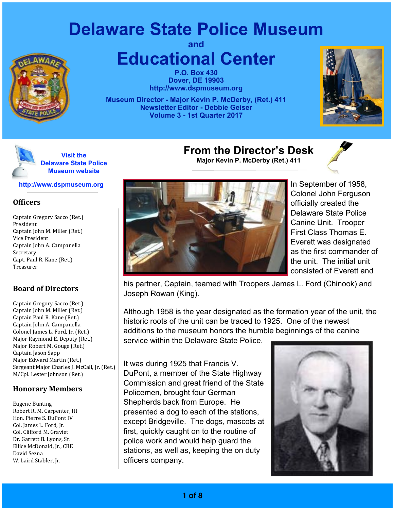# **Delaware State Police Museum**



**and Educational Center**

> **P.O. Box 430 Dover, DE 19903 <http://www.dspmuseum.org>**

**Museum Director - Major Kevin P. McDerby, (Ret.) 411 Newsletter Editor - Debbie Geiser Volume 3 - 1st Quarter 2017**





#### **<http://www.dspmuseum.org>**

#### **Officers**

Captain Gregory Sacco (Ret.) President Captain John M. Miller (Ret.) Vice President Captain John A. Campanella Secretary Capt. Paul R. Kane (Ret.) Treasurer

#### **Board of Directors**

Captain Gregory Sacco (Ret.) Captain John M. Miller (Ret.) Captain Paul R. Kane (Ret.) Captain John A. Campanella Colonel James L. Ford, Jr. (Ret.) Major Raymond E. Deputy (Ret.) Major Robert M. Gouge (Ret.) Captain Jason Sapp Major Edward Martin (Ret.) Sergeant Major Charles J. McCall, Jr. (Ret.) M/Cpl. Lester Johnson (Ret.)

#### **Honorary Members**

Eugene Bunting Robert R. M. Carpenter, III Hon. Pierre S. DuPont IV Col. James L. Ford, Jr. Col. Clifford M. Graviet Dr. Garrett B. Lyons, Sr. Ellice McDonald, Jr., CBE David Sezna W. Laird Stabler, Jr.



In September of 1958, Colonel John Ferguson officially created the Delaware State Police Canine Unit. Trooper First Class Thomas E. Everett was designated as the first commander of the unit. The initial unit consisted of Everett and

his partner, Captain, teamed with Troopers James L. Ford (Chinook) and Joseph Rowan (King).

**From the Director's Desk Major Kevin P. McDerby (Ret.) 411**

Although 1958 is the year designated as the formation year of the unit, the historic roots of the unit can be traced to 1925. One of the newest additions to the museum honors the humble beginnings of the canine service within the Delaware State Police.

It was during 1925 that Francis V. DuPont, a member of the State Highway Commission and great friend of the State Policemen, brought four German Shepherds back from Europe. He presented a dog to each of the stations, except Bridgeville. The dogs, mascots at first, quickly caught on to the routine of police work and would help guard the stations, as well as, keeping the on duty officers company.

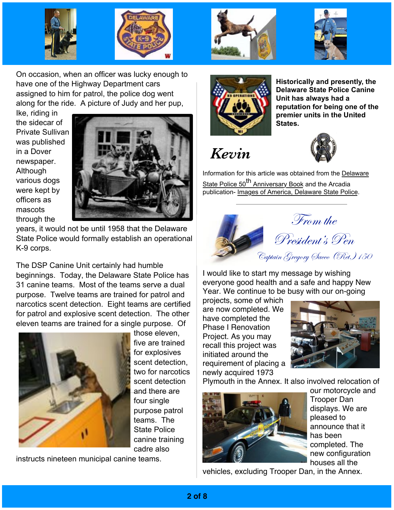





On occasion, when an officer was lucky enough to have one of the Highway Department cars assigned to him for patrol, the police dog went along for the ride. A picture of Judy and her pup,

Ike, riding in the sidecar of Private Sullivan was published in a Dover newspaper. Although various dogs were kept by officers as mascots through the



years, it would not be until 1958 that the Delaware State Police would formally establish an operational K-9 corps.

The DSP Canine Unit certainly had humble beginnings. Today, the Delaware State Police has 31 canine teams. Most of the teams serve a dual purpose. Twelve teams are trained for patrol and narcotics scent detection. Eight teams are certified for patrol and explosive scent detection. The other eleven teams are trained for a single purpose. Of



those eleven, five are trained for explosives scent detection, two for narcotics scent detection and there are four single purpose patrol teams. The State Police canine training cadre also

instructs nineteen municipal canine teams.



**Historically and presently, the Delaware State Police Canine Unit has always had a reputation for being one of the premier units in the United States.**

 *Kevin*



Information for this article was obtained from the Delaware State Police 50<sup>th</sup> Anniversary Book and the Arcadia publication- Images of America, Delaware State Police.



I would like to start my message by wishing everyone good health and a safe and happy New Year. We continue to be busy with our on-going

projects, some of which are now completed. We have completed the Phase I Renovation Project. As you may recall this project was initiated around the requirement of placing a newly acquired 1973



Plymouth in the Annex. It also involved relocation of



our motorcycle and Trooper Dan displays. We are pleased to announce that it has been completed. The new configuration houses all the

vehicles, excluding Trooper Dan, in the Annex.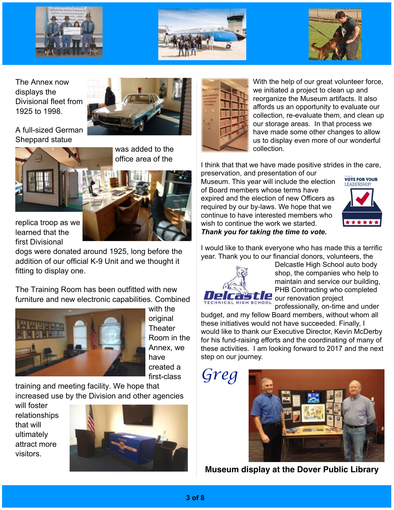





The Annex now displays the Divisional fleet from 1925 to 1998.



A full-sized German Sheppard statue



was added to the office area of the



dogs were donated around 1925, long before the addition of our official K-9 Unit and we thought it fitting to display one.

The Training Room has been outfitted with new furniture and new electronic capabilities. Combined



with the original **Theater** Room in the Annex, we have created a first-class

training and meeting facility. We hope that increased use by the Division and other agencies

will foster relationships that will ultimately attract more visitors.





With the help of our great volunteer force, we initiated a project to clean up and reorganize the Museum artifacts. It also affords us an opportunity to evaluate our collection, re-evaluate them, and clean up our storage areas. In that process we have made some other changes to allow us to display even more of our wonderful collection.

I think that that we have made positive strides in the care,

preservation, and presentation of our Museum. This year will include the election of Board members whose terms have expired and the election of new Officers as required by our by-laws. We hope that we continue to have interested members who wish to continue the work we started. *Thank you for taking the time to vote.*



I would like to thank everyone who has made this a terrific year. Thank you to our financial donors, volunteers, the



Delcastle High School auto body shop, the companies who help to maintain and service our building, PHB Contracting who completed our renovation project

professionally, on-time and under budget, and my fellow Board members, without whom all these initiatives would not have succeeded. Finally, I would like to thank our Executive Director, Kevin McDerby for his fund-raising efforts and the coordinating of many of these activities. I am looking forward to 2017 and the next step on our journey.

*Greg*



**Museum display at the Dover Public Library**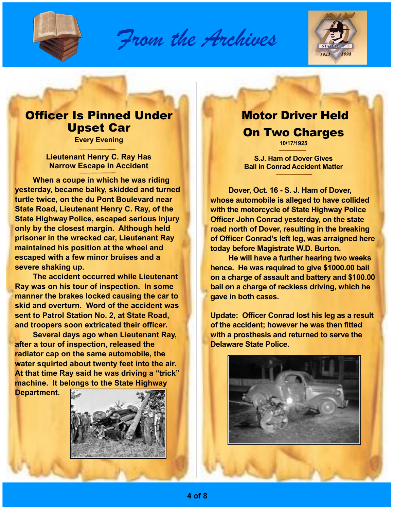

*From the Archives*



## Officer Is Pinned Under Upset Car

**Every Evening** 

**Lieutenant Henry C. Ray Has Narrow Escape in Accident**

**When a coupe in which he was riding yesterday, became balky, skidded and turned turtle twice, on the du Pont Boulevard near State Road, Lieutenant Henry C. Ray, of the State Highway Police, escaped serious injury only by the closest margin. Although held prisoner in the wrecked car, Lieutenant Ray maintained his position at the wheel and escaped with a few minor bruises and a severe shaking up.** 

**The accident occurred while Lieutenant Ray was on his tour of inspection. In some manner the brakes locked causing the car to skid and overturn. Word of the accident was sent to Patrol Station No. 2, at State Road, and troopers soon extricated their officer.**

**Several days ago when Lieutenant Ray, after a tour of inspection, released the radiator cap on the same automobile, the water squirted about twenty feet into the air. At that time Ray said he was driving a "trick" machine. It belongs to the State Highway** 

**Department.**



#### Motor Driver Held On Two Charges **10/17/1925**

**S.J. Ham of Dover Gives Bail in Conrad Accident Matter**

**Dover, Oct. 16 - S. J. Ham of Dover, whose automobile is alleged to have collided with the motorcycle of State Highway Police Officer John Conrad yesterday, on the state road north of Dover, resulting in the breaking of Officer Conrad's left leg, was arraigned here today before Magistrate W.D. Burton.**

**He will have a further hearing two weeks hence. He was required to give \$1000.00 bail on a charge of assault and battery and \$100.00 bail on a charge of reckless driving, which he gave in both cases.** 

**Update: Officer Conrad lost his leg as a result of the accident; however he was then fitted with a prosthesis and returned to serve the Delaware State Police.** 

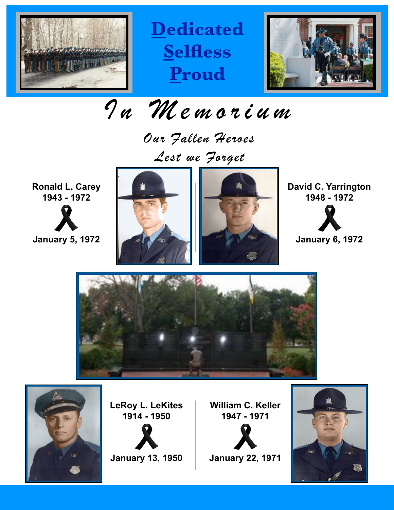

**Dedicated Selfless Proud**



*In Memorium*

*Our Fallen Heroes Lest we Forget*

**Ronald L. Carey 1943 - 1972**

**January 5, 1972**



**LeRoy L. LeKites 1914 - 1950**

**January 13, 1950**



**William C. Keller 1947 - 1971**

**January 22, 1971**

**David C. Yarrington 1948 - 1972**



**January 6, 1972**



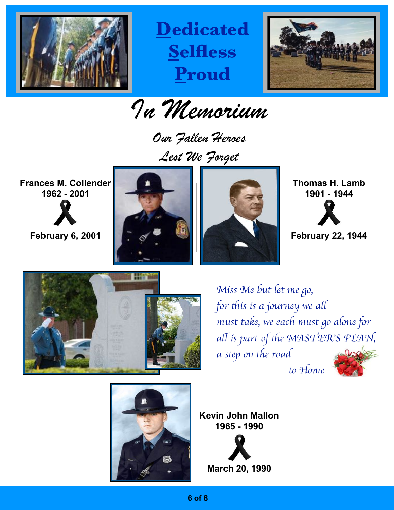

**Dedicated Selfless Proud**



*In Memorium*

*Our Fallen Heroes Lest We Forget*

**Frances M. Collender 1962 - 2001**

**February 6, 2001**





**Thomas H. Lamb 1901 - 1944**



**February 22, 1944**



*Miss Me but let me go, for* t*is is a journey we a*l *must take, we each must go alone for a*l *is part of* t*e MASTER*'*S PLAN, a* step on the road to Home



**Kevin John Mallon 1965 - 1990**

**March 20, 1990**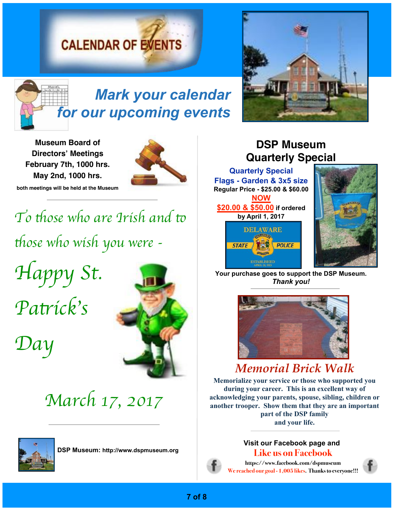# **CALENDAR OF EVENTS**



*Mark your calendar for our upcoming events*

**Museum Board of Directors' Meetings February 7th, 1000 hrs. May 2nd, 1000 hrs.**



**both meetings will be held at the Museum**

*To those who are Irish and to* t*ose who wish you were - Happy St.* 

*Pa*t*ick*'*s* 

*Day*



*March 17, 2017*



**DSP Museum:<http://www.dspmuseum.org>**



## **DSP Museum Quarterly Special**

**Quarterly Special Flags - Garden & 3x5 size Regular Price - \$25.00 & \$60.00 NOW \$20.00 & \$50.00 if ordered** 





**Your purchase goes to support the DSP Museum.**  *Thank you!*



# *Memorial Brick Walk*

**Memorialize your service or those who supported you during your career. This is an excellent way of acknowledging your parents, spouse, sibling, children or another trooper. Show them that they are an important part of the DSP family and your life.**

#### **Visit our Facebook page and Like us on Facebook**